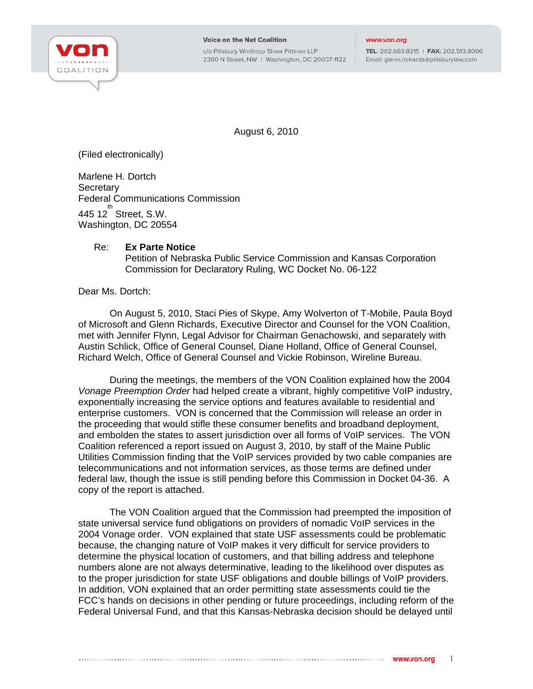

c/o Pillsbury Winthrop Shaw Pittman LLP 2300 N Street, NW | Washington, DC 20037-1122 TEL: 202.663.8215 | FAX: 202.513.8006 Email: glenn.richards@pillsburylaw.com

August 6, 2010

(Filed electronically)

Marlene H. Dortch **Secretary** Federal Communications Commission  $445$  12 $^{th}$  Street, S.W. Washington, DC 20554

## Re: **Ex Parte Notice**

Petition of Nebraska Public Service Commission and Kansas Corporation Commission for Declaratory Ruling, WC Docket No. 06-122

Dear Ms. Dortch:

On August 5, 2010, Staci Pies of Skype, Amy Wolverton of T-Mobile, Paula Boyd of Microsoft and Glenn Richards, Executive Director and Counsel for the VON Coalition, met with Jennifer Flynn, Legal Advisor for Chairman Genachowski, and separately with Austin Schlick, Office of General Counsel, Diane Holland, Office of General Counsel, Richard Welch, Office of General Counsel and Vickie Robinson, Wireline Bureau.

During the meetings, the members of the VON Coalition explained how the 2004 *Vonage Preemption Order* had helped create a vibrant, highly competitive VoIP industry, exponentially increasing the service options and features available to residential and enterprise customers. VON is concerned that the Commission will release an order in the proceeding that would stifle these consumer benefits and broadband deployment, and embolden the states to assert jurisdiction over all forms of VoIP services. The VON Coalition referenced a report issued on August 3, 2010, by staff of the Maine Public Utilities Commission finding that the VoIP services provided by two cable companies are telecommunications and not information services, as those terms are defined under federal law, though the issue is still pending before this Commission in Docket 04-36. A copy of the report is attached.

The VON Coalition argued that the Commission had preempted the imposition of state universal service fund obligations on providers of nomadic VoIP services in the 2004 Vonage order. VON explained that state USF assessments could be problematic because, the changing nature of VoIP makes it very difficult for service providers to determine the physical location of customers, and that billing address and telephone numbers alone are not always determinative, leading to the likelihood over disputes as to the proper jurisdiction for state USF obligations and double billings of VoIP providers. In addition, VON explained that an order permitting state assessments could tie the FCC's hands on decisions in other pending or future proceedings, including reform of the Federal Universal Fund, and that this Kansas-Nebraska decision should be delayed until